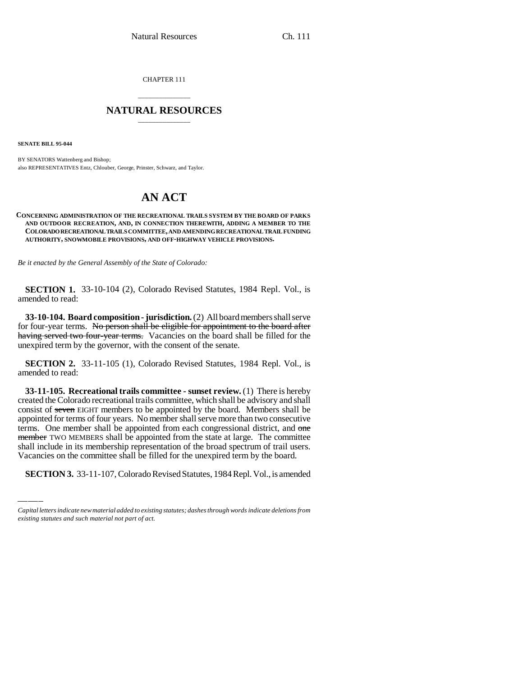CHAPTER 111

## \_\_\_\_\_\_\_\_\_\_\_\_\_\_\_ **NATURAL RESOURCES** \_\_\_\_\_\_\_\_\_\_\_\_\_\_\_

**SENATE BILL 95-044**

BY SENATORS Wattenberg and Bishop; also REPRESENTATIVES Entz, Chlouber, George, Prinster, Schwarz, and Taylor.

# **AN ACT**

#### **CONCERNING ADMINISTRATION OF THE RECREATIONAL TRAILS SYSTEM BY THE BOARD OF PARKS AND OUTDOOR RECREATION, AND, IN CONNECTION THEREWITH, ADDING A MEMBER TO THE COLORADO RECREATIONAL TRAILS COMMITTEE, AND AMENDING RECREATIONAL TRAIL FUNDING AUTHORITY, SNOWMOBILE PROVISIONS, AND OFF-HIGHWAY VEHICLE PROVISIONS.**

*Be it enacted by the General Assembly of the State of Colorado:*

**SECTION 1.** 33-10-104 (2), Colorado Revised Statutes, 1984 Repl. Vol., is amended to read:

**33-10-104. Board composition - jurisdiction.** (2) All board members shall serve for four-year terms. No person shall be eligible for appointment to the board after having served two four-year terms. Vacancies on the board shall be filled for the unexpired term by the governor, with the consent of the senate.

**SECTION 2.** 33-11-105 (1), Colorado Revised Statutes, 1984 Repl. Vol., is amended to read:

member TWO MEMBERS shall be appointed from the state at large. The committee **33-11-105. Recreational trails committee - sunset review.** (1) There is hereby created the Colorado recreational trails committee, which shall be advisory and shall consist of seven EIGHT members to be appointed by the board. Members shall be appointed for terms of four years. No member shall serve more than two consecutive terms. One member shall be appointed from each congressional district, and one shall include in its membership representation of the broad spectrum of trail users. Vacancies on the committee shall be filled for the unexpired term by the board.

**SECTION 3.** 33-11-107, Colorado Revised Statutes, 1984 Repl. Vol., is amended

*Capital letters indicate new material added to existing statutes; dashes through words indicate deletions from existing statutes and such material not part of act.*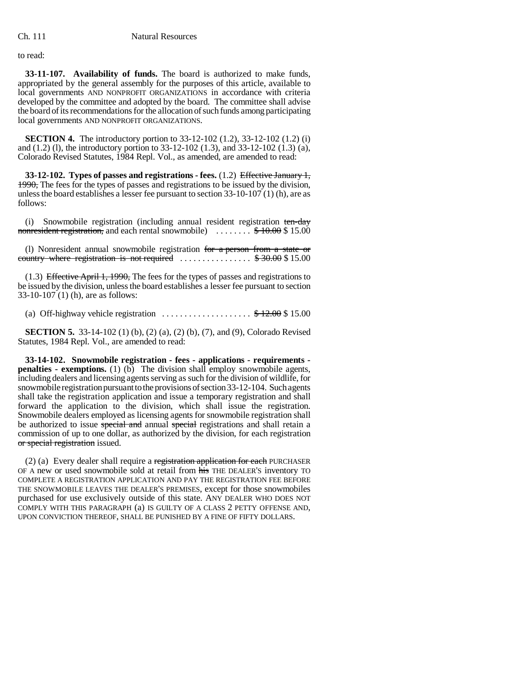to read:

**33-11-107. Availability of funds.** The board is authorized to make funds, appropriated by the general assembly for the purposes of this article, available to local governments AND NONPROFIT ORGANIZATIONS in accordance with criteria developed by the committee and adopted by the board. The committee shall advise the board of its recommendations for the allocation of such funds among participating local governments AND NONPROFIT ORGANIZATIONS.

**SECTION 4.** The introductory portion to 33-12-102 (1.2), 33-12-102 (1.2) (i) and (1.2) (l), the introductory portion to 33-12-102 (1.3), and 33-12-102 (1.3) (a), Colorado Revised Statutes, 1984 Repl. Vol., as amended, are amended to read:

**33-12-102. Types of passes and registrations - fees.** (1.2) Effective January 1, 1990, The fees for the types of passes and registrations to be issued by the division, unless the board establishes a lesser fee pursuant to section 33-10-107 (1) (h), are as follows:

(i) Snowmobile registration (including annual resident registration ten-day nonresident registration, and each rental snowmobile)  $\ldots \ldots$   $\frac{1}{\sqrt{2}}$  + 10.00 \$ 15.00

(l) Nonresident annual snowmobile registration for a person from a state or country where registration is not required  $\ldots \ldots \ldots \ldots$  \$30.00 \$15.00

(1.3) Effective April 1, 1990, The fees for the types of passes and registrations to be issued by the division, unless the board establishes a lesser fee pursuant to section 33-10-107 (1) (h), are as follows:

(a) Off-highway vehicle registration  $\dots\dots\dots\dots\dots\dots$  \$12.00 \$15.00

**SECTION 5.** 33-14-102 (1) (b), (2) (a), (2) (b), (7), and (9), Colorado Revised Statutes, 1984 Repl. Vol., are amended to read:

**33-14-102. Snowmobile registration - fees - applications - requirements penalties - exemptions.** (1) (b) The division shall employ snowmobile agents, including dealers and licensing agents serving as such for the division of wildlife, for snowmobile registration pursuant to the provisions of section 33-12-104. Such agents shall take the registration application and issue a temporary registration and shall forward the application to the division, which shall issue the registration. Snowmobile dealers employed as licensing agents for snowmobile registration shall be authorized to issue special and annual special registrations and shall retain a commission of up to one dollar, as authorized by the division, for each registration or special registration issued.

(2) (a) Every dealer shall require a registration application for each PURCHASER OF A new or used snowmobile sold at retail from his THE DEALER'S inventory TO COMPLETE A REGISTRATION APPLICATION AND PAY THE REGISTRATION FEE BEFORE THE SNOWMOBILE LEAVES THE DEALER'S PREMISES, except for those snowmobiles purchased for use exclusively outside of this state. ANY DEALER WHO DOES NOT COMPLY WITH THIS PARAGRAPH (a) IS GUILTY OF A CLASS 2 PETTY OFFENSE AND, UPON CONVICTION THEREOF, SHALL BE PUNISHED BY A FINE OF FIFTY DOLLARS.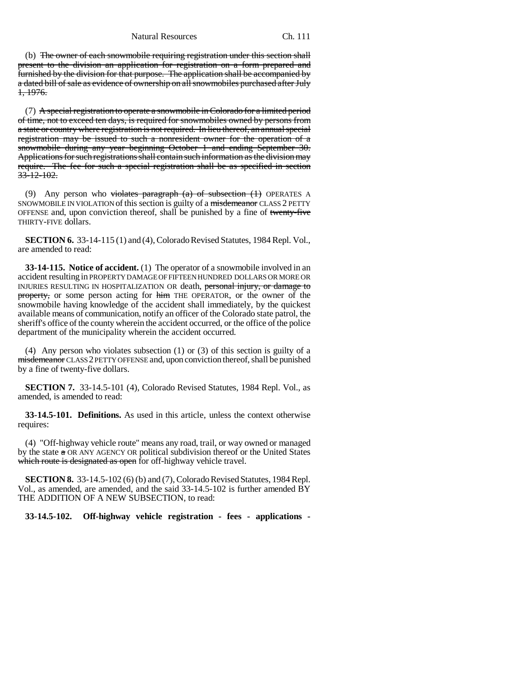Natural Resources Ch. 111

(b) The owner of each snowmobile requiring registration under this section shall present to the division an application for registration on a form prepared and furnished by the division for that purpose. The application shall be accompanied by a dated bill of sale as evidence of ownership on all snowmobiles purchased after July 1, 1976.

(7) A special registration to operate a snowmobile in Colorado for a limited period of time, not to exceed ten days, is required for snowmobiles owned by persons from a state or country where registration is not required. In lieu thereof, an annual special registration may be issued to such a nonresident owner for the operation of a snowmobile during any year beginning October 1 and ending September 30. Applications for such registrations shall contain such information as the division may require. The fee for such a special registration shall be as specified in section  $33 - 12 - 102$ .

(9) Any person who violates paragraph  $(a)$  of subsection  $(1)$  OPERATES A SNOWMOBILE IN VIOLATION of this section is guilty of a misdemeanor CLASS 2 PETTY OFFENSE and, upon conviction thereof, shall be punished by a fine of twenty-five THIRTY-FIVE dollars.

**SECTION 6.** 33-14-115 (1) and (4), Colorado Revised Statutes, 1984 Repl. Vol., are amended to read:

**33-14-115. Notice of accident.** (1) The operator of a snowmobile involved in an accident resulting in PROPERTY DAMAGE OF FIFTEEN HUNDRED DOLLARS OR MORE OR INJURIES RESULTING IN HOSPITALIZATION OR death, personal injury, or damage to property, or some person acting for him THE OPERATOR, or the owner of the snowmobile having knowledge of the accident shall immediately, by the quickest available means of communication, notify an officer of the Colorado state patrol, the sheriff's office of the county wherein the accident occurred, or the office of the police department of the municipality wherein the accident occurred.

(4) Any person who violates subsection (1) or (3) of this section is guilty of a misdemeanor CLASS 2 PETTY OFFENSE and, upon conviction thereof, shall be punished by a fine of twenty-five dollars.

**SECTION 7.** 33-14.5-101 (4), Colorado Revised Statutes, 1984 Repl. Vol., as amended, is amended to read:

**33-14.5-101. Definitions.** As used in this article, unless the context otherwise requires:

(4) "Off-highway vehicle route" means any road, trail, or way owned or managed by the state a OR ANY AGENCY OR political subdivision thereof or the United States which route is designated as open for off-highway vehicle travel.

**SECTION 8.** 33-14.5-102 (6) (b) and (7), Colorado Revised Statutes, 1984 Repl. Vol., as amended, are amended, and the said 33-14.5-102 is further amended BY THE ADDITION OF A NEW SUBSECTION, to read:

**33-14.5-102. Off-highway vehicle registration - fees - applications -**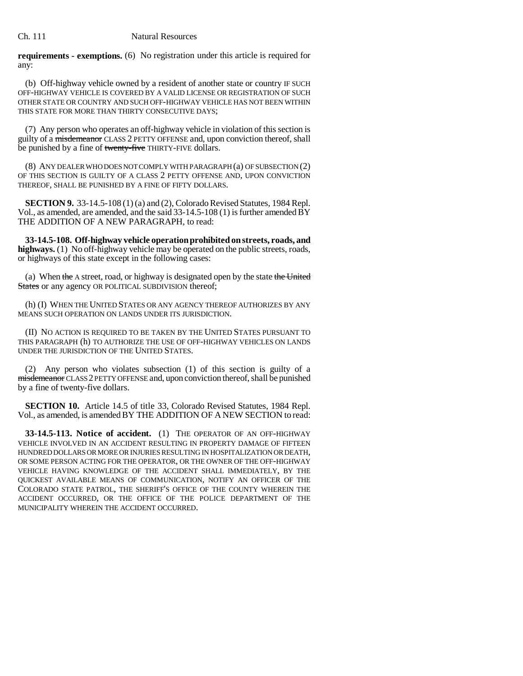### Ch. 111 Natural Resources

**requirements - exemptions.** (6) No registration under this article is required for any:

(b) Off-highway vehicle owned by a resident of another state or country IF SUCH OFF-HIGHWAY VEHICLE IS COVERED BY A VALID LICENSE OR REGISTRATION OF SUCH OTHER STATE OR COUNTRY AND SUCH OFF-HIGHWAY VEHICLE HAS NOT BEEN WITHIN THIS STATE FOR MORE THAN THIRTY CONSECUTIVE DAYS;

(7) Any person who operates an off-highway vehicle in violation of this section is guilty of a misdemeanor CLASS 2 PETTY OFFENSE and, upon conviction thereof, shall be punished by a fine of twenty-five THIRTY-FIVE dollars.

(8) ANY DEALER WHO DOES NOT COMPLY WITH PARAGRAPH (a) OF SUBSECTION (2) OF THIS SECTION IS GUILTY OF A CLASS 2 PETTY OFFENSE AND, UPON CONVICTION THEREOF, SHALL BE PUNISHED BY A FINE OF FIFTY DOLLARS.

**SECTION 9.** 33-14.5-108 (1) (a) and (2), Colorado Revised Statutes, 1984 Repl. Vol., as amended, are amended, and the said  $33-14.5-108(1)$  is further amended  $\overline{BY}$ THE ADDITION OF A NEW PARAGRAPH, to read:

**33-14.5-108. Off-highway vehicle operation prohibited on streets, roads, and highways.** (1) No off-highway vehicle may be operated on the public streets, roads, or highways of this state except in the following cases:

(a) When the A street, road, or highway is designated open by the state the United States or any agency OR POLITICAL SUBDIVISION thereof;

(h) (I) WHEN THE UNITED STATES OR ANY AGENCY THEREOF AUTHORIZES BY ANY MEANS SUCH OPERATION ON LANDS UNDER ITS JURISDICTION.

(II) NO ACTION IS REQUIRED TO BE TAKEN BY THE UNITED STATES PURSUANT TO THIS PARAGRAPH (h) TO AUTHORIZE THE USE OF OFF-HIGHWAY VEHICLES ON LANDS UNDER THE JURISDICTION OF THE UNITED STATES.

(2) Any person who violates subsection (1) of this section is guilty of a misdemeanor CLASS 2 PETTY OFFENSE and, upon conviction thereof, shall be punished by a fine of twenty-five dollars.

**SECTION 10.** Article 14.5 of title 33, Colorado Revised Statutes, 1984 Repl. Vol., as amended, is amended BY THE ADDITION OF A NEW SECTION to read:

**33-14.5-113. Notice of accident.** (1) THE OPERATOR OF AN OFF-HIGHWAY VEHICLE INVOLVED IN AN ACCIDENT RESULTING IN PROPERTY DAMAGE OF FIFTEEN HUNDRED DOLLARS OR MORE OR INJURIES RESULTING IN HOSPITALIZATION OR DEATH, OR SOME PERSON ACTING FOR THE OPERATOR, OR THE OWNER OF THE OFF-HIGHWAY VEHICLE HAVING KNOWLEDGE OF THE ACCIDENT SHALL IMMEDIATELY, BY THE QUICKEST AVAILABLE MEANS OF COMMUNICATION, NOTIFY AN OFFICER OF THE COLORADO STATE PATROL, THE SHERIFF'S OFFICE OF THE COUNTY WHEREIN THE ACCIDENT OCCURRED, OR THE OFFICE OF THE POLICE DEPARTMENT OF THE MUNICIPALITY WHEREIN THE ACCIDENT OCCURRED.